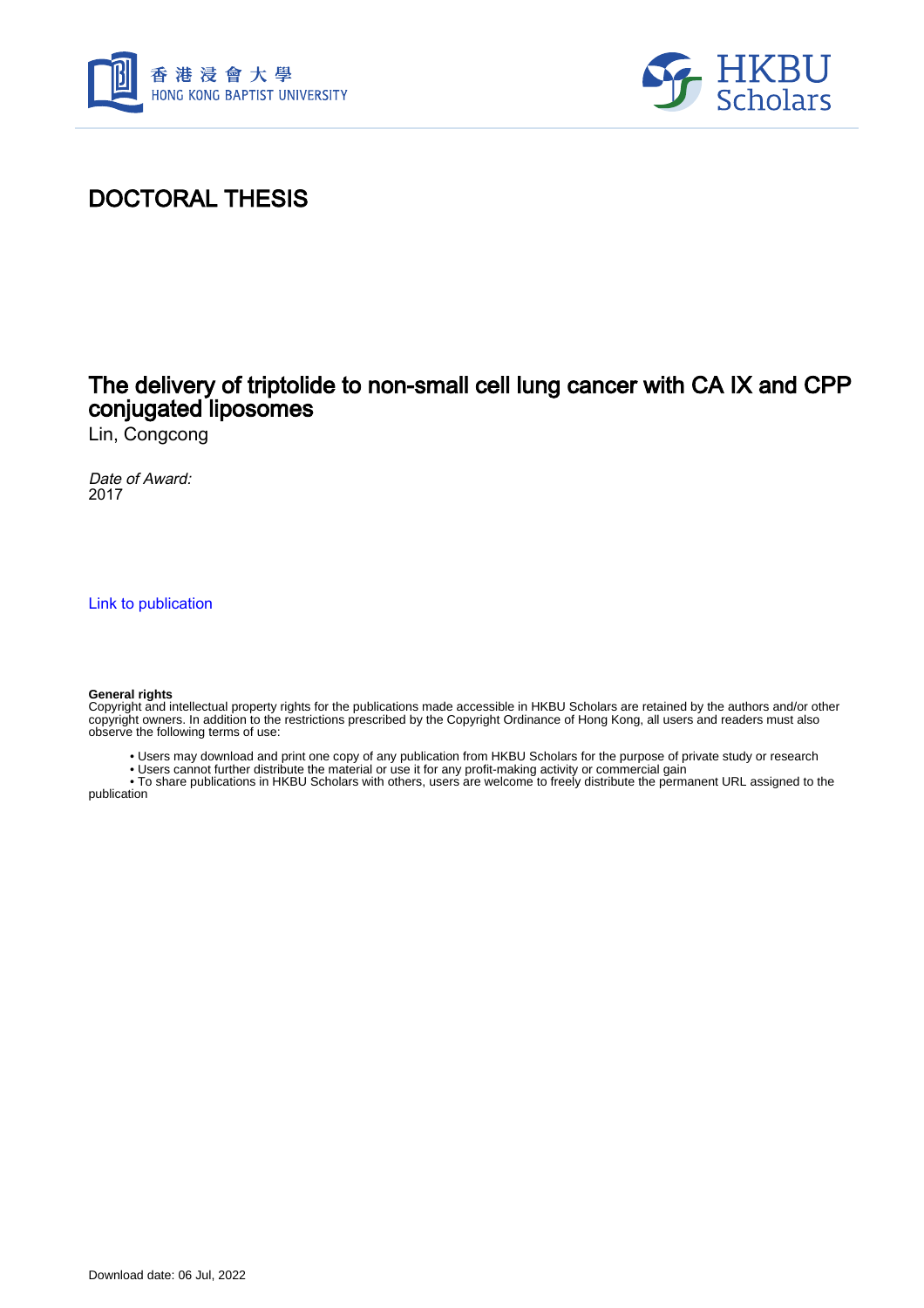



## DOCTORAL THESIS

### The delivery of triptolide to non-small cell lung cancer with CA IX and CPP conjugated liposomes

Lin, Congcong

Date of Award: 2017

[Link to publication](https://scholars.hkbu.edu.hk/en/studentTheses/5a650b14-6129-416f-82ae-f610e0d5bc70)

#### **General rights**

Copyright and intellectual property rights for the publications made accessible in HKBU Scholars are retained by the authors and/or other copyright owners. In addition to the restrictions prescribed by the Copyright Ordinance of Hong Kong, all users and readers must also observe the following terms of use:

- Users may download and print one copy of any publication from HKBU Scholars for the purpose of private study or research
- Users cannot further distribute the material or use it for any profit-making activity or commercial gain

 • To share publications in HKBU Scholars with others, users are welcome to freely distribute the permanent URL assigned to the publication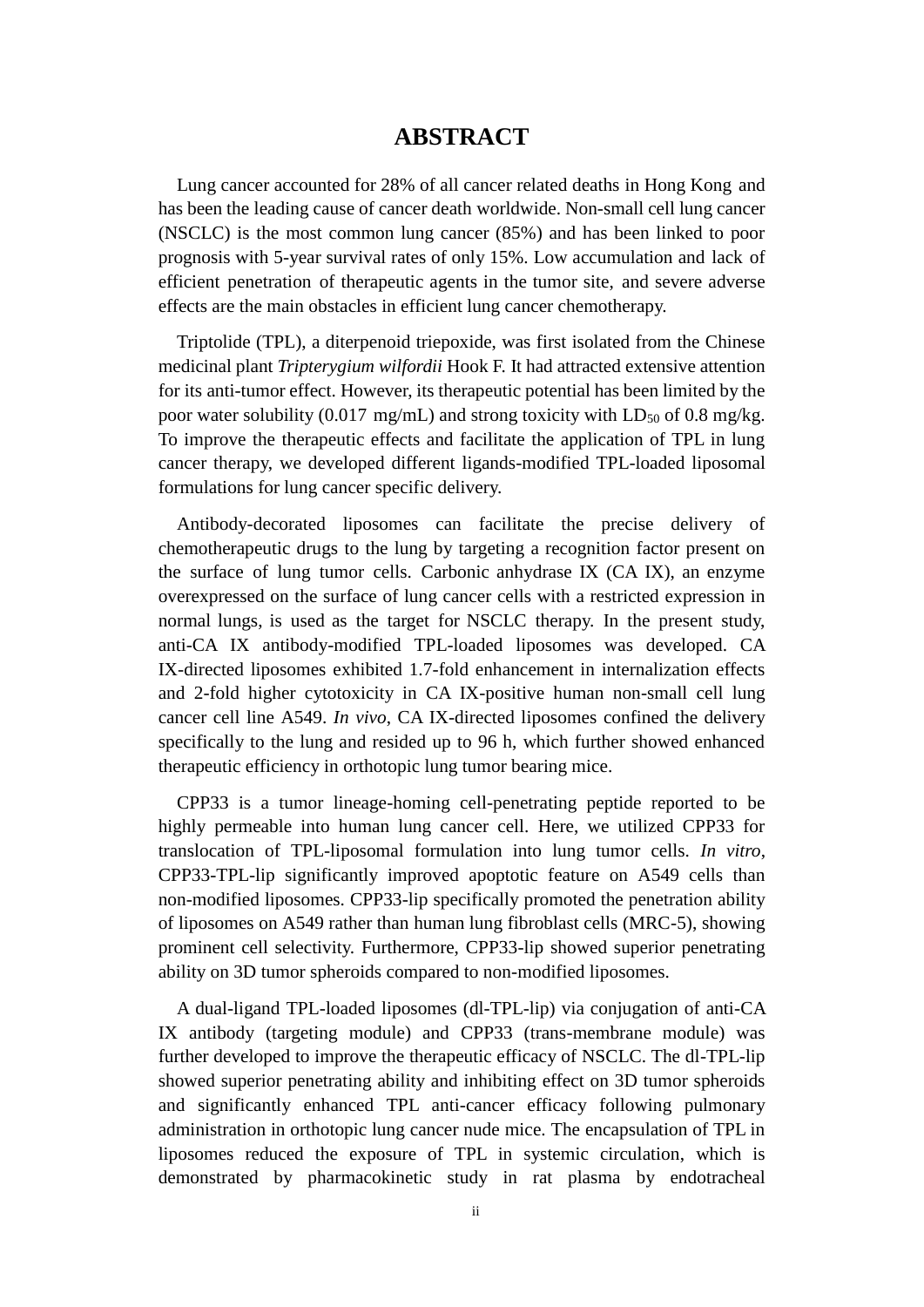### **ABSTRACT**

<span id="page-1-0"></span>Lung cancer accounted for 28% of all cancer related deaths in Hong Kong and has been the leading cause of cancer death worldwide. Non-small cell lung cancer (NSCLC) is the most common lung cancer (85%) and has been linked to poor prognosis with 5-year survival rates of only 15%. Low accumulation and lack of efficient penetration of therapeutic agents in the tumor site, and severe adverse effects are the main obstacles in efficient lung cancer chemotherapy.

Triptolide (TPL), a diterpenoid triepoxide, was first isolated from the Chinese medicinal plant *Tripterygium wilfordii* Hook F. It had attracted extensive attention for its anti-tumor effect. However, its therapeutic potential has been limited by the poor water solubility (0.017 mg/mL) and strong toxicity with  $LD_{50}$  of 0.8 mg/kg. To improve the therapeutic effects and facilitate the application of TPL in lung cancer therapy, we developed different ligands-modified TPL-loaded liposomal formulations for lung cancer specific delivery.

Antibody-decorated liposomes can facilitate the precise delivery of chemotherapeutic drugs to the lung by targeting a recognition factor present on the surface of lung tumor cells. Carbonic anhydrase IX (CA IX), an enzyme overexpressed on the surface of lung cancer cells with a restricted expression in normal lungs, is used as the target for NSCLC therapy. In the present study, anti-CA IX antibody-modified TPL-loaded liposomes was developed. CA IX-directed liposomes exhibited 1.7-fold enhancement in internalization effects and 2-fold higher cytotoxicity in CA IX-positive human non-small cell lung cancer cell line A549. *In vivo*, CA IX-directed liposomes confined the delivery specifically to the lung and resided up to 96 h, which further showed enhanced therapeutic efficiency in orthotopic lung tumor bearing mice.

CPP33 is a tumor lineage-homing cell-penetrating peptide reported to be highly permeable into human lung cancer cell. Here, we utilized CPP33 for translocation of TPL-liposomal formulation into lung tumor cells. *In vitro*, CPP33-TPL-lip significantly improved apoptotic feature on A549 cells than non-modified liposomes. CPP33-lip specifically promoted the penetration ability of liposomes on A549 rather than human lung fibroblast cells (MRC-5), showing prominent cell selectivity. Furthermore, CPP33-lip showed superior penetrating ability on 3D tumor spheroids compared to non-modified liposomes.

A dual-ligand TPL-loaded liposomes (dl-TPL-lip) via conjugation of anti-CA IX antibody (targeting module) and CPP33 (trans-membrane module) was further developed to improve the therapeutic efficacy of NSCLC. The dl-TPL-lip showed superior penetrating ability and inhibiting effect on 3D tumor spheroids and significantly enhanced TPL anti-cancer efficacy following pulmonary administration in orthotopic lung cancer nude mice. The encapsulation of TPL in liposomes reduced the exposure of TPL in systemic circulation, which is demonstrated by pharmacokinetic study in rat plasma by endotracheal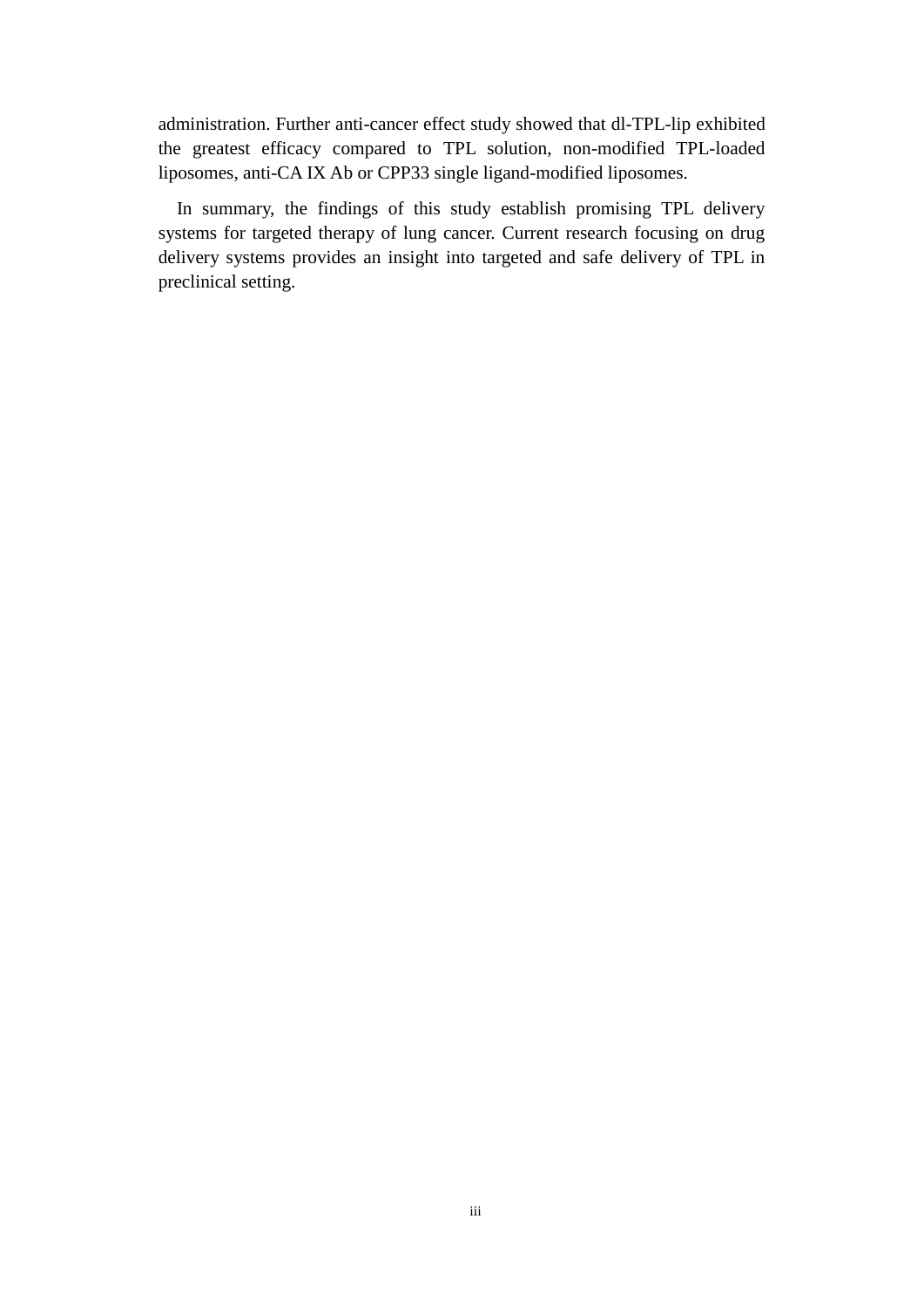administration. Further anti-cancer effect study showed that dl-TPL-lip exhibited the greatest efficacy compared to TPL solution, non-modified TPL-loaded liposomes, anti-CA IX Ab or CPP33 single ligand-modified liposomes.

In summary, the findings of this study establish promising TPL delivery systems for targeted therapy of lung cancer. Current research focusing on drug delivery systems provides an insight into targeted and safe delivery of TPL in preclinical setting.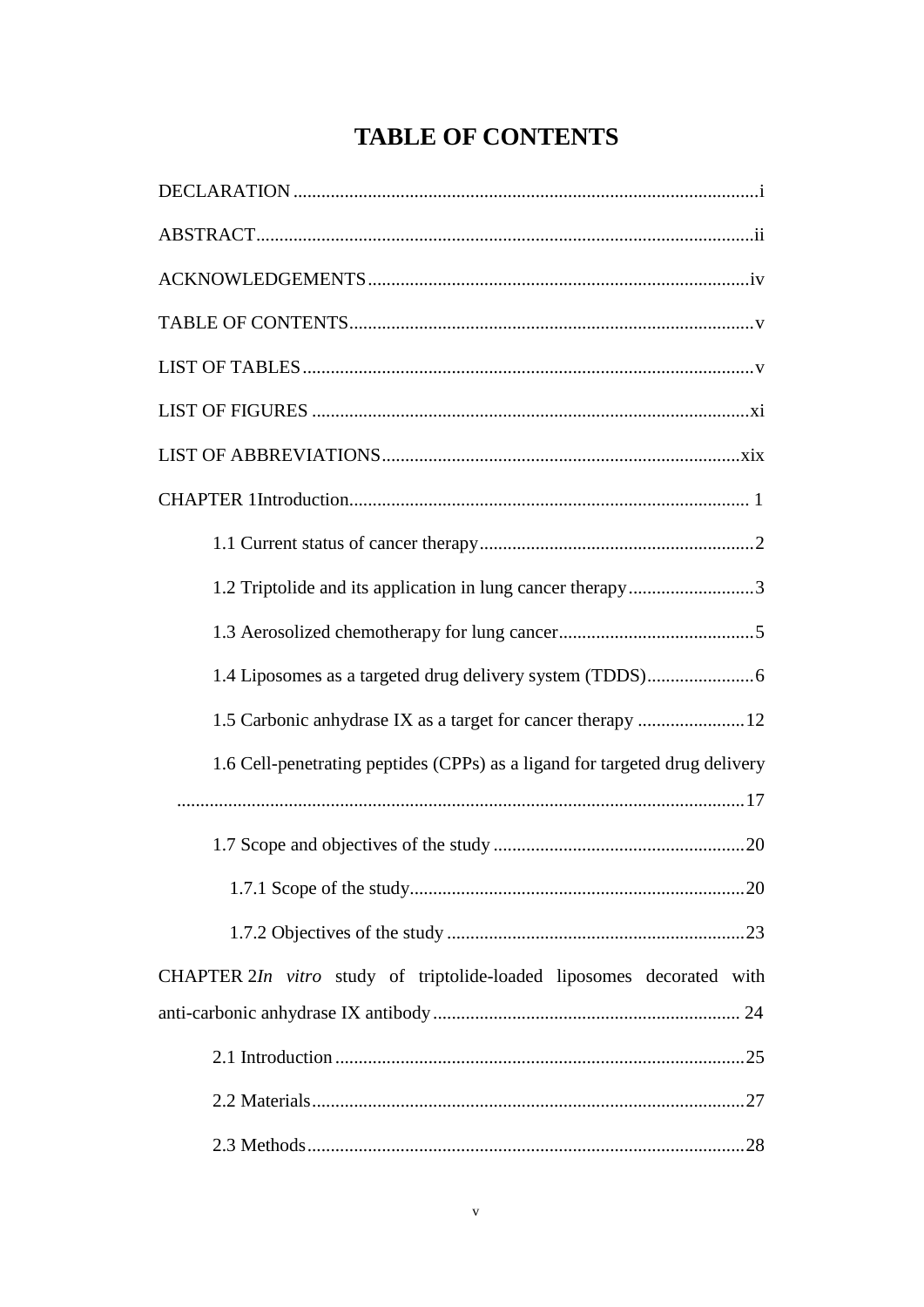# **TABLE OF CONTENTS**

<span id="page-3-0"></span>

| 1.2 Triptolide and its application in lung cancer therapy3                  |
|-----------------------------------------------------------------------------|
|                                                                             |
|                                                                             |
| 1.5 Carbonic anhydrase IX as a target for cancer therapy  12                |
| 1.6 Cell-penetrating peptides (CPPs) as a ligand for targeted drug delivery |
|                                                                             |
|                                                                             |
|                                                                             |
|                                                                             |
| CHAPTER 2In vitro study of triptolide-loaded liposomes decorated with       |
|                                                                             |
|                                                                             |
|                                                                             |
|                                                                             |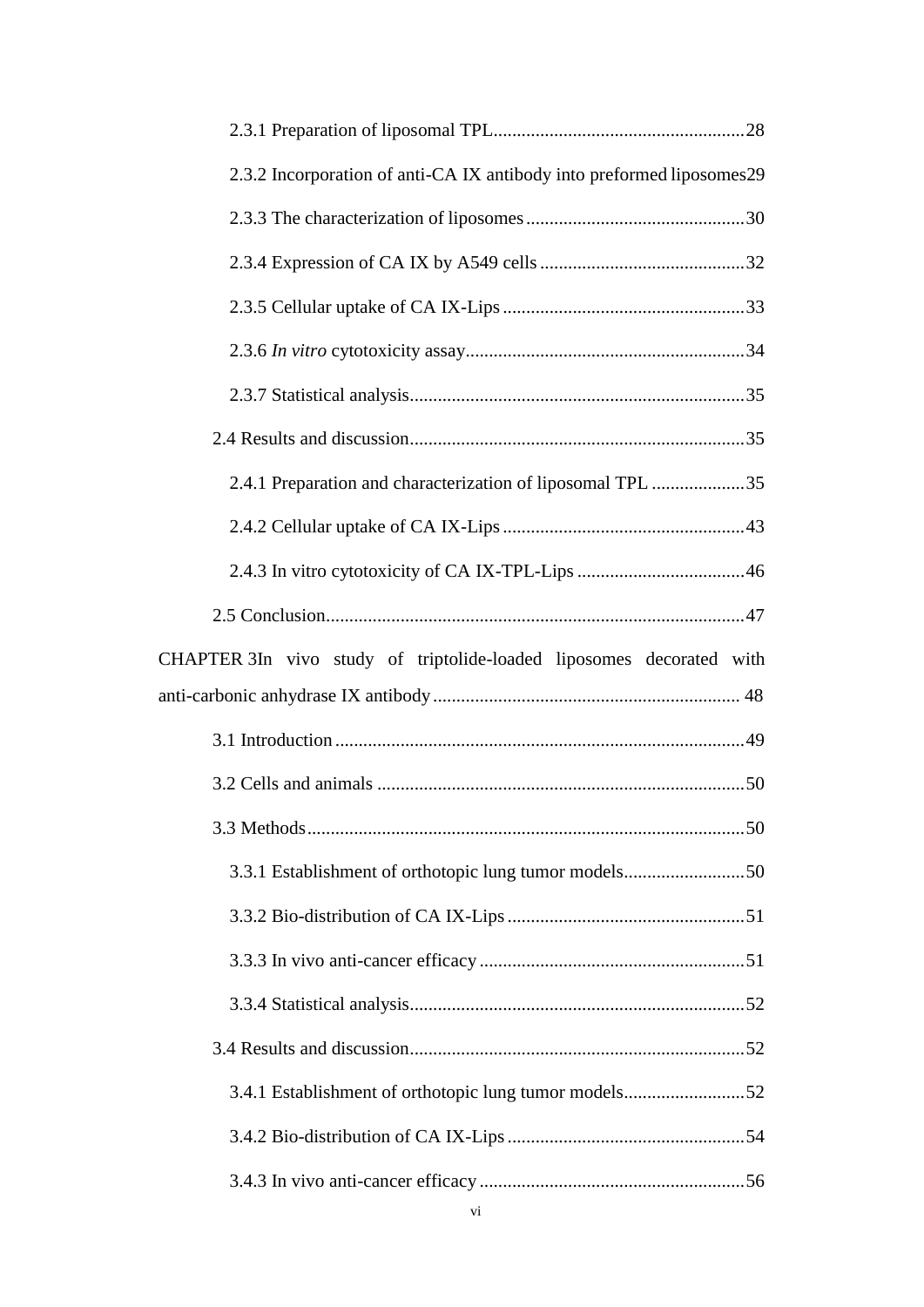| 2.3.2 Incorporation of anti-CA IX antibody into preformed liposomes29 |  |
|-----------------------------------------------------------------------|--|
|                                                                       |  |
|                                                                       |  |
|                                                                       |  |
|                                                                       |  |
|                                                                       |  |
|                                                                       |  |
| 2.4.1 Preparation and characterization of liposomal TPL 35            |  |
|                                                                       |  |
|                                                                       |  |
|                                                                       |  |
| CHAPTER 3In vivo study of triptolide-loaded liposomes decorated with  |  |
|                                                                       |  |
|                                                                       |  |
|                                                                       |  |
|                                                                       |  |
| 3.3.1 Establishment of orthotopic lung tumor models50                 |  |
|                                                                       |  |
|                                                                       |  |
|                                                                       |  |
|                                                                       |  |
| 3.4.1 Establishment of orthotopic lung tumor models52                 |  |
|                                                                       |  |
|                                                                       |  |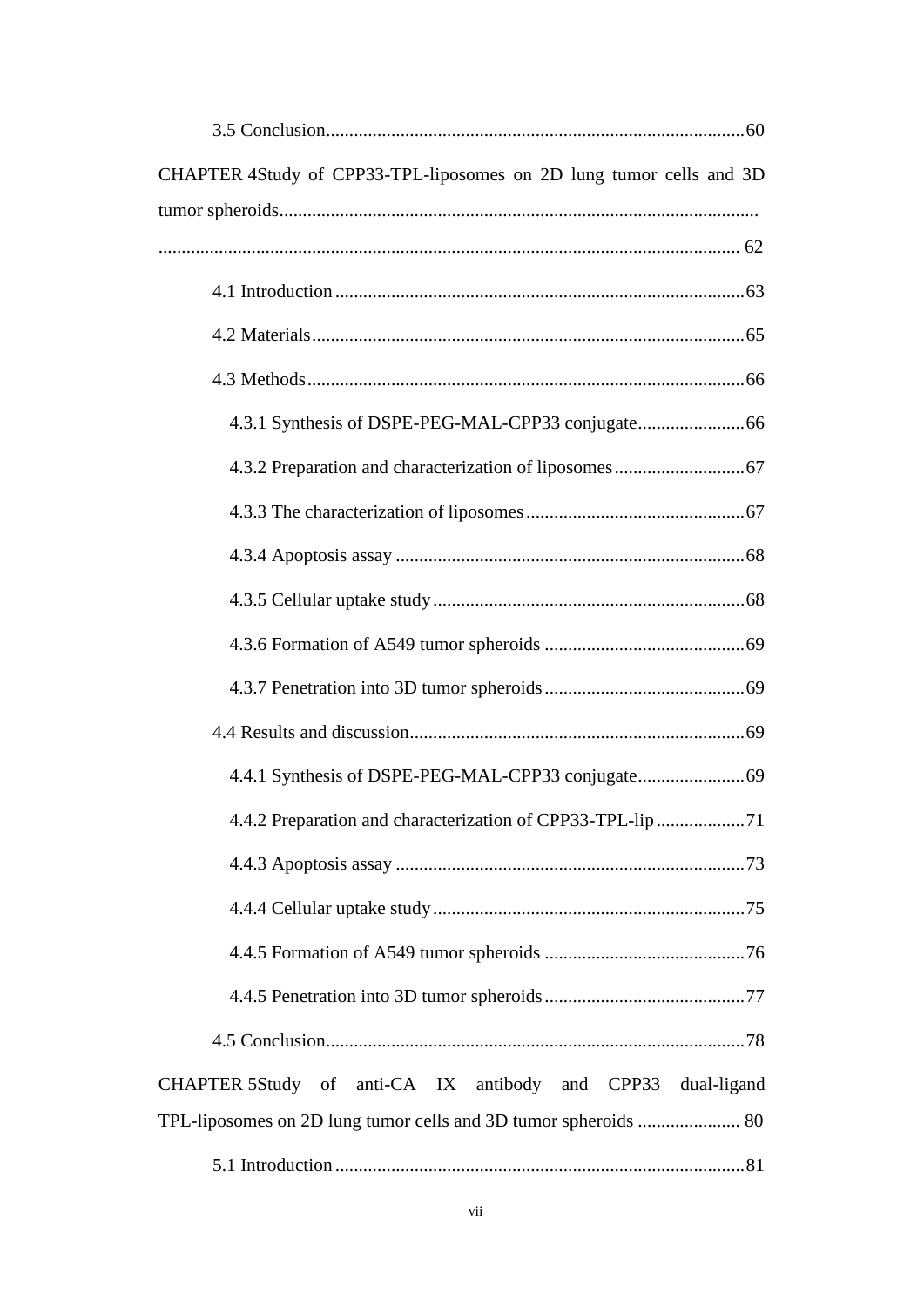| CHAPTER 4Study of CPP33-TPL-liposomes on 2D lung tumor cells and 3D |
|---------------------------------------------------------------------|
|                                                                     |
|                                                                     |
|                                                                     |
|                                                                     |
|                                                                     |
|                                                                     |
|                                                                     |
|                                                                     |
|                                                                     |
|                                                                     |
|                                                                     |
|                                                                     |
|                                                                     |
|                                                                     |
|                                                                     |
|                                                                     |
|                                                                     |
|                                                                     |
|                                                                     |
|                                                                     |
| CHAPTER 5Study of anti-CA IX antibody and CPP33 dual-ligand         |
|                                                                     |
|                                                                     |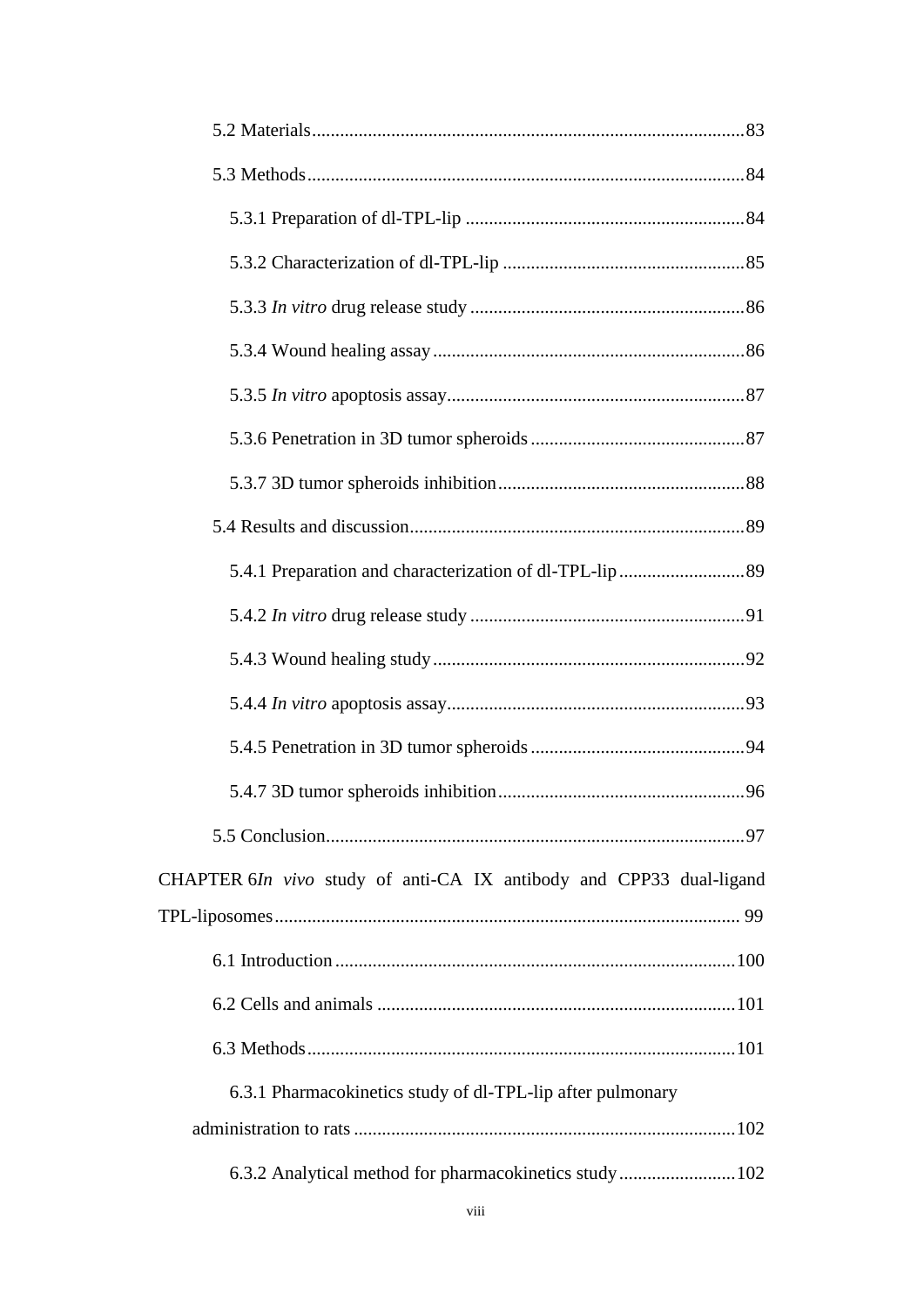| CHAPTER 6In vivo study of anti-CA IX antibody and CPP33 dual-ligand |
|---------------------------------------------------------------------|
|                                                                     |
|                                                                     |
|                                                                     |
|                                                                     |
| 6.3.1 Pharmacokinetics study of dl-TPL-lip after pulmonary          |
|                                                                     |
| 6.3.2 Analytical method for pharmacokinetics study 102              |